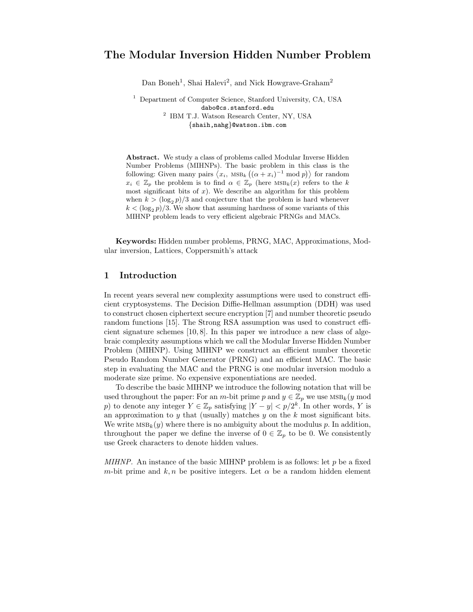# The Modular Inversion Hidden Number Problem

Dan Boneh<sup>1</sup>, Shai Halevi<sup>2</sup>, and Nick Howgrave-Graham<sup>2</sup>

<sup>1</sup> Department of Computer Science, Stanford University, CA, USA dabo@cs.stanford.edu 2 IBM T.J. Watson Research Center, NY, USA {shaih,nahg}@watson.ibm.com

Abstract. We study a class of problems called Modular Inverse Hidden Number Problems (MIHNPs). The basic problem in this class is the following: Given many pairs  $\langle x_i, \text{MSB}_k((\alpha + x_i)^{-1} \text{ mod } p) \rangle$  for random  $x_i \in \mathbb{Z}_p$  the problem is to find  $\alpha \in \mathbb{Z}_p$  (here  $\text{MSB}_k(x)$  refers to the k most significant bits of  $x$ ). We describe an algorithm for this problem when  $k > (\log_2 p)/3$  and conjecture that the problem is hard whenever  $k < (\log_2 p)/3$ . We show that assuming hardness of some variants of this MIHNP problem leads to very efficient algebraic PRNGs and MACs.

Keywords: Hidden number problems, PRNG, MAC, Approximations, Modular inversion, Lattices, Coppersmith's attack

# 1 Introduction

In recent years several new complexity assumptions were used to construct efficient cryptosystems. The Decision Diffie-Hellman assumption (DDH) was used to construct chosen ciphertext secure encryption [7] and number theoretic pseudo random functions [15]. The Strong RSA assumption was used to construct efficient signature schemes [10, 8]. In this paper we introduce a new class of algebraic complexity assumptions which we call the Modular Inverse Hidden Number Problem (MIHNP). Using MIHNP we construct an efficient number theoretic Pseudo Random Number Generator (PRNG) and an efficient MAC. The basic step in evaluating the MAC and the PRNG is one modular inversion modulo a moderate size prime. No expensive exponentiations are needed.

To describe the basic MIHNP we introduce the following notation that will be used throughout the paper: For an m-bit prime p and  $y \in \mathbb{Z}_p$  we use  $\text{MSB}_k(y \text{ mod } y)$ p) to denote any integer  $Y \in \mathbb{Z}_p$  satisfying  $|Y - y| < p/2^k$ . In other words, Y is an approximation to  $y$  that (usually) matches  $y$  on the  $k$  most significant bits. We write  $MSB_k(y)$  where there is no ambiguity about the modulus p. In addition, throughout the paper we define the inverse of  $0 \in \mathbb{Z}_p$  to be 0. We consistently use Greek characters to denote hidden values.

MIHNP. An instance of the basic MIHNP problem is as follows: let  $p$  be a fixed m-bit prime and k, n be positive integers. Let  $\alpha$  be a random hidden element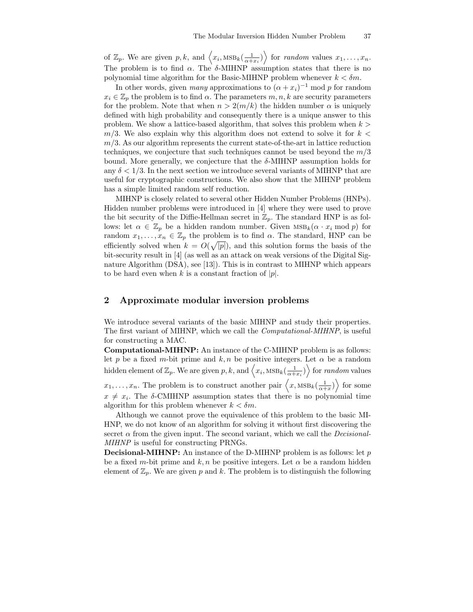of  $\mathbb{Z}_p$ . We are given p, k, and  $\langle x_i, \text{MSB}_k(\frac{1}{\alpha+x_i}) \rangle$  for random values  $x_1, \ldots, x_n$ . The problem is to find  $\alpha$ . The  $\delta$ -MIHNP assumption states that there is no polynomial time algorithm for the Basic-MIHNP problem whenever  $k < \delta m$ .

In other words, given *many* approximations to  $(\alpha + x_i)^{-1}$  mod p for random  $x_i \in \mathbb{Z}_p$  the problem is to find  $\alpha$ . The parameters  $m, n, k$  are security parameters for the problem. Note that when  $n > 2(m/k)$  the hidden number  $\alpha$  is uniquely defined with high probability and consequently there is a unique answer to this problem. We show a lattice-based algorithm, that solves this problem when  $k >$  $m/3$ . We also explain why this algorithm does not extend to solve it for  $k <$  $m/3$ . As our algorithm represents the current state-of-the-art in lattice reduction techniques, we conjecture that such techniques cannot be used beyond the  $m/3$ bound. More generally, we conjecture that the  $\delta$ -MIHNP assumption holds for any  $\delta < 1/3$ . In the next section we introduce several variants of MIHNP that are useful for cryptographic constructions. We also show that the MIHNP problem has a simple limited random self reduction.

MIHNP is closely related to several other Hidden Number Problems (HNPs). Hidden number problems were introduced in [4] where they were used to prove the bit security of the Diffie-Hellman secret in  $\mathbb{Z}_p$ . The standard HNP is as follows: let  $\alpha \in \mathbb{Z}_p$  be a hidden random number. Given  $\text{MSB}_k(\alpha \cdot x_i \mod p)$  for random  $x_1, \ldots, x_n \in \mathbb{Z}_p$  the problem is to find  $\alpha$ . The standard, HNP can be efficiently solved when  $k = O(\sqrt{|p|})$ , and this solution forms the basis of the bit-security result in [4] (as well as an attack on weak versions of the Digital Signature Algorithm (DSA), see [13]). This is in contrast to MIHNP which appears to be hard even when k is a constant fraction of  $|p|$ .

## 2 Approximate modular inversion problems

We introduce several variants of the basic MIHNP and study their properties. The first variant of MIHNP, which we call the Computational-MIHNP, is useful for constructing a MAC.

Computational-MIHNP: An instance of the C-MIHNP problem is as follows: let p be a fixed m-bit prime and k, n be positive integers. Let  $\alpha$  be a random hidden element of  $\mathbb{Z}_p$ . We are given p, k, and  $\langle x_i, \text{MSB}_k(\frac{1}{\alpha+x_i}) \rangle$  for random values  $x_1, \ldots, x_n$ . The problem is to construct another pair  $\langle x, \text{MSB}_k(\frac{1}{\alpha+x}) \rangle$  for some  $x \neq x_i$ . The  $\delta$ -CMIHNP assumption states that there is no polynomial time algorithm for this problem whenever  $k < \delta m$ .

Although we cannot prove the equivalence of this problem to the basic MI-HNP, we do not know of an algorithm for solving it without first discovering the secret  $\alpha$  from the given input. The second variant, which we call the *Decisional*-MIHNP is useful for constructing PRNGs.

**Decisional-MIHNP:** An instance of the D-MIHNP problem is as follows: let  $p$ be a fixed m-bit prime and k, n be positive integers. Let  $\alpha$  be a random hidden element of  $\mathbb{Z}_p$ . We are given p and k. The problem is to distinguish the following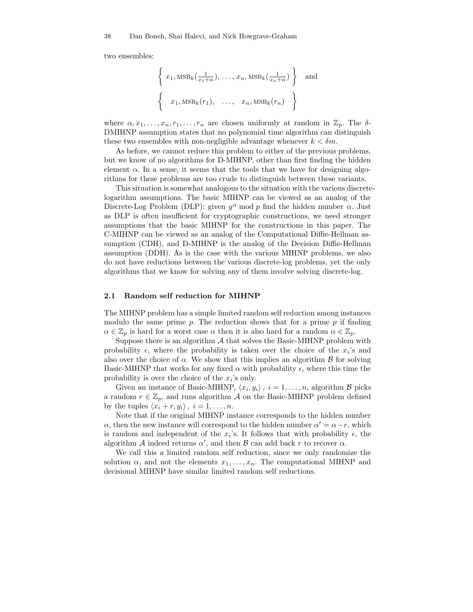two ensembles:

$$
\left\{ x_1, \text{MSB}_k\left(\frac{1}{x_1 + \alpha}\right), \dots, x_n, \text{MSB}_k\left(\frac{1}{x_n + \alpha}\right) \right\} \text{ and}
$$
  

$$
\left\{ x_1, \text{MSB}_k(r_1), \dots, x_n, \text{MSB}_k(r_n) \right\}
$$

where  $\alpha, x_1, \ldots, x_n, r_1, \ldots, r_n$  are chosen uniformly at random in  $\mathbb{Z}_p$ . The  $\delta$ -DMIHNP assumption states that no polynomial time algorithm can distinguish these two ensembles with non-negligible advantage whenever  $k < \delta m$ .

As before, we cannot reduce this problem to either of the previous problems, but we know of no algorithms for D-MIHNP, other than first finding the hidden element  $\alpha$ . In a sense, it seems that the tools that we have for designing algorithms for these problems are too crude to distinguish between these variants.

This situation is somewhat analogous to the situation with the various discretelogarithm assumptions. The basic MIHNP can be viewed as an analog of the Discrete-Log Problem (DLP): given  $g^{\alpha}$  mod p find the hidden number  $\alpha$ . Just as DLP is often insufficient for cryptographic constructions, we need stronger assumptions that the basic MIHNP for the constructions in this paper. The C-MIHNP can be viewed as an analog of the Computational Diffie-Hellman assumption (CDH), and D-MIHNP is the analog of the Decision Diffie-Hellman assumption (DDH). As is the case with the various MIHNP problems, we also do not have reductions between the various discrete-log problems, yet the only algorithms that we know for solving any of them involve solving discrete-log.

#### 2.1 Random self reduction for MIHNP

The MIHNP problem has a simple limited random self reduction among instances modulo the same prime  $p$ . The reduction shows that for a prime  $p$  if finding  $\alpha \in \mathbb{Z}_p$  is hard for a worst case  $\alpha$  then it is also hard for a random  $\alpha \in \mathbb{Z}_p$ .

Suppose there is an algorithm  $A$  that solves the Basic-MIHNP problem with probability  $\epsilon$ , where the probability is taken over the choice of the  $x_i$ 's and also over the choice of  $\alpha$ . We show that this implies an algorithm  $\beta$  for solving Basic-MIHNP that works for any fixed  $\alpha$  with probability  $\epsilon$ , where this time the probability is over the choice of the  $x_i$ 's only.

Given an instance of Basic-MIHNP,  $\langle x_i, y_i \rangle$ ,  $i = 1, ..., n$ , algorithm B picks a random  $r \in \mathbb{Z}_p$ , and runs algorithm A on the Basic-MIHNP problem defined by the tuples  $\langle x_i + r, y_i \rangle$ ,  $i = 1, \ldots, n$ .

Note that if the original MIHNP instance corresponds to the hidden number  $\alpha$ , then the new instance will correspond to the hidden number  $\alpha' = \alpha - r$ , which is random and independent of the  $x_i$ 's. It follows that with probability  $\epsilon$ , the algorithm A indeed returns  $\alpha'$ , and then B can add back r to recover  $\alpha$ .

We call this a limited random self reduction, since we only randomize the solution  $\alpha$ , and not the elements  $x_1, \ldots, x_n$ . The computational MIHNP and decisional MIHNP have similar limited random self reductions.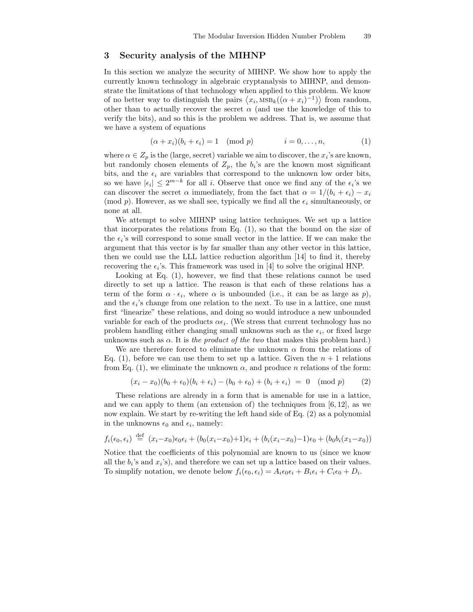# 3 Security analysis of the MIHNP

In this section we analyze the security of MIHNP. We show how to apply the currently known technology in algebraic cryptanalysis to MIHNP, and demonstrate the limitations of that technology when applied to this problem. We know of no better way to distinguish the pairs  $\langle x_i, \text{MSB}_k((\alpha + x_i)^{-1}) \rangle$  from random, other than to actually recover the secret  $\alpha$  (and use the knowledge of this to verify the bits), and so this is the problem we address. That is, we assume that we have a system of equations

$$
(\alpha + x_i)(b_i + \epsilon_i) = 1 \pmod{p} \qquad i = 0, \dots, n,
$$
 (1)

where  $\alpha \in Z_p$  is the (large, secret) variable we aim to discover, the  $x_i$ 's are known, but randomly chosen elements of  $Z_p$ , the  $b_i$ 's are the known most significant bits, and the  $\epsilon_i$  are variables that correspond to the unknown low order bits, so we have  $|\epsilon_i| \leq 2^{m-k}$  for all i. Observe that once we find any of the  $\epsilon_i$ 's we can discover the secret  $\alpha$  immediately, from the fact that  $\alpha = 1/(b_i + \epsilon_i) - x_i$ (mod p). However, as we shall see, typically we find all the  $\epsilon_i$  simultaneously, or none at all.

We attempt to solve MIHNP using lattice techniques. We set up a lattice that incorporates the relations from Eq. (1), so that the bound on the size of the  $\epsilon_i$ 's will correspond to some small vector in the lattice. If we can make the argument that this vector is by far smaller than any other vector in this lattice, then we could use the LLL lattice reduction algorithm [14] to find it, thereby recovering the  $\epsilon_i$ 's. This framework was used in [4] to solve the original HNP.

Looking at Eq. (1), however, we find that these relations cannot be used directly to set up a lattice. The reason is that each of these relations has a term of the form  $\alpha \cdot \epsilon_i$ , where  $\alpha$  is unbounded (i.e., it can be as large as p), and the  $\epsilon_i$ 's change from one relation to the next. To use in a lattice, one must first "linearize" these relations, and doing so would introduce a new unbounded variable for each of the products  $\alpha \epsilon_i$ . (We stress that current technology has no problem handling either changing small unknowns such as the  $\epsilon_i$ , or fixed large unknowns such as  $\alpha$ . It is the product of the two that makes this problem hard.)

We are therefore forced to eliminate the unknown  $\alpha$  from the relations of Eq. (1), before we can use them to set up a lattice. Given the  $n + 1$  relations from Eq. (1), we eliminate the unknown  $\alpha$ , and produce n relations of the form:

$$
(x_i - x_0)(b_0 + \epsilon_0)(b_i + \epsilon_i) - (b_0 + \epsilon_0) + (b_i + \epsilon_i) = 0 \pmod{p} \tag{2}
$$

These relations are already in a form that is amenable for use in a lattice, and we can apply to them (an extension of) the techniques from  $[6, 12]$ , as we now explain. We start by re-writing the left hand side of Eq. (2) as a polynomial in the unknowns  $\epsilon_0$  and  $\epsilon_i$ , namely:

$$
f_i(\epsilon_0, \epsilon_i) \stackrel{\text{def}}{=} (x_i - x_0)\epsilon_0 \epsilon_i + (b_0(x_i - x_0) + 1)\epsilon_i + (b_i(x_i - x_0) - 1)\epsilon_0 + (b_0b_i(x_1 - x_0))
$$

Notice that the coefficients of this polynomial are known to us (since we know all the  $b_i$ 's and  $x_i$ 's), and therefore we can set up a lattice based on their values. To simplify notation, we denote below  $f_i(\epsilon_0, \epsilon_i) = A_i \epsilon_0 \epsilon_i + B_i \epsilon_i + C_i \epsilon_0 + D_i$ .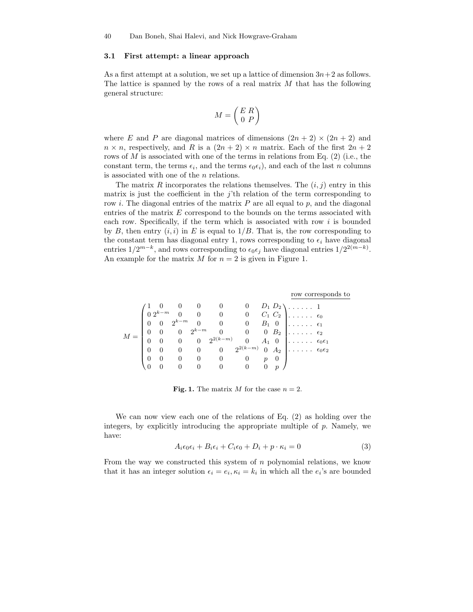#### 3.1 First attempt: a linear approach

As a first attempt at a solution, we set up a lattice of dimension  $3n+2$  as follows. The lattice is spanned by the rows of a real matrix  $M$  that has the following general structure:

$$
M = \left(\begin{array}{c} E \ R \\ 0 \ P \end{array}\right)
$$

where E and P are diagonal matrices of dimensions  $(2n + 2) \times (2n + 2)$  and  $n \times n$ , respectively, and R is a  $(2n + 2) \times n$  matrix. Each of the first  $2n + 2$ rows of  $M$  is associated with one of the terms in relations from Eq. (2) (i.e., the constant term, the terms  $\epsilon_i$ , and the terms  $\epsilon_0 \epsilon_i$ ), and each of the last n columns is associated with one of the n relations.

The matrix R incorporates the relations themselves. The  $(i, j)$  entry in this matrix is just the coefficient in the  $j$ 'th relation of the term corresponding to row i. The diagonal entries of the matrix  $P$  are all equal to  $p$ , and the diagonal entries of the matrix  $E$  correspond to the bounds on the terms associated with each row. Specifically, if the term which is associated with row  $i$  is bounded by B, then entry  $(i,i)$  in E is equal to  $1/B$ . That is, the row corresponding to the constant term has diagonal entry 1, rows corresponding to  $\epsilon_i$  have diagonal entries  $1/2^{m-k}$ , and rows corresponding to  $\epsilon_0 \epsilon_j$  have diagonal entries  $1/2^{2(m-k)}$ . An example for the matrix M for  $n = 2$  is given in Figure 1.

|                                                                                                                                                                                                                                                                                            |          |                   |                |                                      |                          |               |                       |                                   | row corresponds to      |
|--------------------------------------------------------------------------------------------------------------------------------------------------------------------------------------------------------------------------------------------------------------------------------------------|----------|-------------------|----------------|--------------------------------------|--------------------------|---------------|-----------------------|-----------------------------------|-------------------------|
|                                                                                                                                                                                                                                                                                            |          |                   |                |                                      |                          |               | $D_1 D_2 \setminus$ . |                                   |                         |
| $= \begin{pmatrix} 1 & 0 & 0 & 0 & 0 & 0 & D_1\, \mathrm{i}\\ 0\, 2^{k-m} & 0 & 0 & 0 & 0 & C_1\, \mathrm{c}\\ 0 & 0 & 2^{k-m} & 0 & 0 & 0 & B_1\\ 0 & 0 & 0 & 2^{k-m} & 0 & 0 & 0\, \mathrm{i}\\ 0 & 0 & 0 & 0 & 2^{2(k-m)} & 0 & A_1\\ 0 & 0 & 0 & 0 & 0 & 2^{2(k-m)} & 0 \end{pmatrix}$ |          |                   |                |                                      |                          |               |                       | $C_1 \ C_2 \ \ldots \ \epsilon_0$ |                         |
|                                                                                                                                                                                                                                                                                            |          |                   |                |                                      |                          |               |                       | $B_1$ 0 $\ldots$ .                | $\epsilon_1$            |
|                                                                                                                                                                                                                                                                                            |          |                   |                |                                      |                          |               |                       | $B_2$                             | $\epsilon_2$            |
|                                                                                                                                                                                                                                                                                            |          |                   |                |                                      |                          |               |                       | $A_1$ 0 $\ldots$                  | $\epsilon_0 \epsilon_1$ |
|                                                                                                                                                                                                                                                                                            |          |                   |                |                                      |                          |               |                       | $A_2$ $\epsilon_0 \epsilon_2$     |                         |
|                                                                                                                                                                                                                                                                                            | $\theta$ | $\hspace{1.6cm}0$ | $\overline{0}$ | $\begin{array}{ccc} & 0 \end{array}$ | $\overline{0}$           | $\mathcal{p}$ | $\theta$              |                                   |                         |
|                                                                                                                                                                                                                                                                                            |          |                   | $\overline{0}$ | $\overline{0}$                       | $\overline{\phantom{0}}$ | $\theta$      |                       |                                   |                         |

Fig. 1. The matrix M for the case  $n = 2$ .

We can now view each one of the relations of Eq. (2) as holding over the integers, by explicitly introducing the appropriate multiple of p. Namely, we have:

$$
A_i \epsilon_0 \epsilon_i + B_i \epsilon_i + C_i \epsilon_0 + D_i + p \cdot \kappa_i = 0 \tag{3}
$$

From the way we constructed this system of  $n$  polynomial relations, we know that it has an integer solution  $\epsilon_i = e_i, \kappa_i = k_i$  in which all the  $e_i$ 's are bounded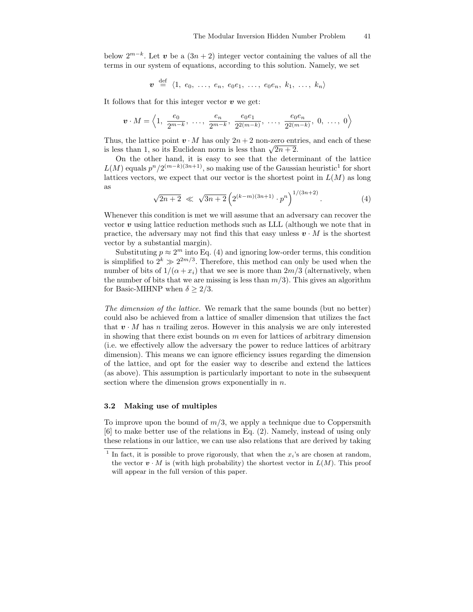below  $2^{m-k}$ . Let v be a  $(3n+2)$  integer vector containing the values of all the terms in our system of equations, according to this solution. Namely, we set

$$
\bm{v} \stackrel{\text{def}}{=} \langle 1, e_0, \ldots, e_n, e_0e_1, \ldots, e_0e_n, k_1, \ldots, k_n \rangle
$$

It follows that for this integer vector  $\boldsymbol{v}$  we get:

$$
\pmb{v}\cdot M=\left<1,\ \frac{e_0}{2^{m-k}},\ \ldots,\ \frac{e_n}{2^{m-k}},\ \frac{e_0e_1}{2^{2(m-k)}},\ \ldots,\ \frac{e_0e_n}{2^{2(m-k)}},\ 0,\ \ldots,\ 0\right>
$$

Thus, the lattice point  $v \cdot M$  has only  $2n + 2$  non-zero entries, and each of these is less than 1, so its Euclidean norm is less than  $\sqrt{2n+2}$ .

On the other hand, it is easy to see that the determinant of the lattice  $L(M)$  equals  $p^n/2^{(m-k)(3n+1)}$ , so making use of the Gaussian heuristic<sup>1</sup> for short lattices vectors, we expect that our vector is the shortest point in  $L(M)$  as long as

$$
\sqrt{2n+2} \ll \sqrt{3n+2} \left( 2^{(k-m)(3n+1)} \cdot p^n \right)^{1/(3n+2)}.
$$
 (4)

Whenever this condition is met we will assume that an adversary can recover the vector  $\boldsymbol{v}$  using lattice reduction methods such as LLL (although we note that in practice, the adversary may not find this that easy unless  $v \cdot M$  is the shortest vector by a substantial margin).

Substituting  $p \approx 2^m$  into Eq. (4) and ignoring low-order terms, this condition is simplified to  $2^k \gg 2^{2m/3}$ . Therefore, this method can only be used when the number of bits of  $1/(\alpha + x_i)$  that we see is more than  $2m/3$  (alternatively, when the number of bits that we are missing is less than  $m/3$ ). This gives an algorithm for Basic-MIHNP when  $\delta \geq 2/3$ .

The dimension of the lattice. We remark that the same bounds (but no better) could also be achieved from a lattice of smaller dimension that utilizes the fact that  $\boldsymbol{v} \cdot M$  has n trailing zeros. However in this analysis we are only interested in showing that there exist bounds on  $m$  even for lattices of arbitrary dimension (i.e. we effectively allow the adversary the power to reduce lattices of arbitrary dimension). This means we can ignore efficiency issues regarding the dimension of the lattice, and opt for the easier way to describe and extend the lattices (as above). This assumption is particularly important to note in the subsequent section where the dimension grows exponentially in  $n$ .

### 3.2 Making use of multiples

To improve upon the bound of  $m/3$ , we apply a technique due to Coppersmith [6] to make better use of the relations in Eq. (2). Namely, instead of using only these relations in our lattice, we can use also relations that are derived by taking

<sup>&</sup>lt;sup>1</sup> In fact, it is possible to prove rigorously, that when the  $x_i$ 's are chosen at random, the vector  $\mathbf{v} \cdot M$  is (with high probability) the shortest vector in  $L(M)$ . This proof will appear in the full version of this paper.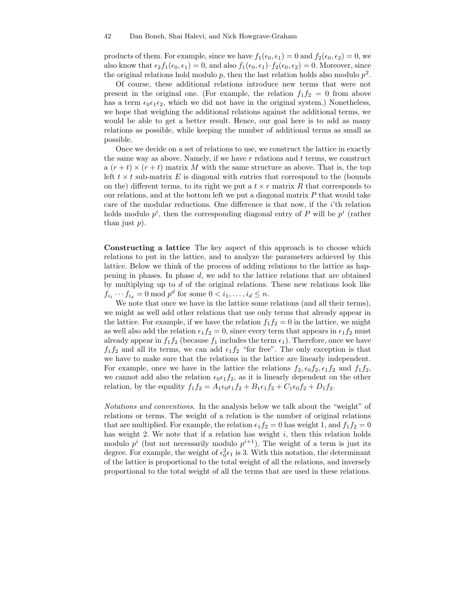products of them. For example, since we have  $f_1(\epsilon_0, \epsilon_1) = 0$  and  $f_2(\epsilon_0, \epsilon_2) = 0$ , we also know that  $\epsilon_2 f_1(\epsilon_0, \epsilon_1) = 0$ , and also  $f_1(\epsilon_0, \epsilon_1) \cdot f_2(\epsilon_0, \epsilon_2) = 0$ . Moreover, since the original relations hold modulo  $p$ , then the last relation holds also modulo  $p^2$ .

Of course, these additional relations introduce new terms that were not present in the original one. (For example, the relation  $f_1f_2 = 0$  from above has a term  $\epsilon_0 \epsilon_1 \epsilon_2$ , which we did not have in the original system.) Nonetheless, we hope that weighing the additional relations against the additional terms, we would be able to get a better result. Hence, our goal here is to add as many relations as possible, while keeping the number of additional terms as small as possible.

Once we decide on a set of relations to use, we construct the lattice in exactly the same way as above. Namely, if we have  $r$  relations and  $t$  terms, we construct  $a(r+t) \times (r+t)$  matrix M with the same structure as above. That is, the top left  $t \times t$  sub-matrix E is diagonal with entries that correspond to the (bounds on the) different terms, to its right we put a  $t \times r$  matrix R that corresponds to our relations, and at the bottom left we put a diagonal matrix  $P$  that would take care of the modular reductions. One difference is that now, if the i'th relation holds modulo  $p^i$ , then the corresponding diagonal entry of P will be  $p^i$  (rather than just  $p$ ).

Constructing a lattice The key aspect of this approach is to choose which relations to put in the lattice, and to analyze the parameters achieved by this lattice. Below we think of the process of adding relations to the lattice as happening in phases. In phase d, we add to the lattice relations that are obtained by multiplying up to  $d$  of the original relations. These new relations look like  $f_{i_1} \cdots f_{i_d} = 0 \mod p^d$  for some  $0 < i_1, \ldots, i_d \leq n$ .

We note that once we have in the lattice some relations (and all their terms), we might as well add other relations that use only terms that already appear in the lattice. For example, if we have the relation  $f_1f_2 = 0$  in the lattice, we might as well also add the relation  $\epsilon_1 f_2 = 0$ , since every term that appears in  $\epsilon_1 f_2$  must already appear in  $f_1f_2$  (because  $f_1$  includes the term  $\epsilon_1$ ). Therefore, once we have  $f_1f_2$  and all its terms, we can add  $\epsilon_1f_2$  "for free". The only exception is that we have to make sure that the relations in the lattice are linearly independent. For example, once we have in the lattice the relations  $f_2, \epsilon_0 f_2, \epsilon_1 f_2$  and  $f_1 f_2$ , we cannot add also the relation  $\epsilon_0 \epsilon_1 f_2$ , as it is linearly dependent on the other relation, by the equality  $f_1f_2 = A_1\epsilon_0\epsilon_1f_2 + B_1\epsilon_1f_2 + C_1\epsilon_0f_2 + D_1f_2$ .

Notations and conventions. In the analysis below we talk about the "weight" of relations or terms. The weight of a relation is the number of original relations that are multiplied. For example, the relation  $\epsilon_1 f_2 = 0$  has weight 1, and  $f_1 f_2 = 0$ has weight 2. We note that if a relation has weight  $i$ , then this relation holds modulo  $p^i$  (but not necessarily modulo  $p^{i+1}$ ). The weight of a term is just its degree. For example, the weight of  $\epsilon_0^2 \epsilon_1$  is 3. With this notation, the determinant of the lattice is proportional to the total weight of all the relations, and inversely proportional to the total weight of all the terms that are used in these relations.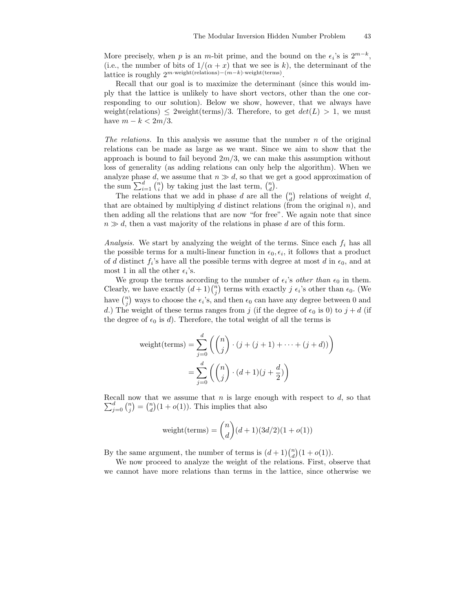More precisely, when p is an m-bit prime, and the bound on the  $\epsilon_i$ 's is  $2^{m-k}$ , (i.e., the number of bits of  $1/(\alpha + x)$  that we see is k), the determinant of the lattice is roughly  $2^{m \cdot \text{weight}(rrelations)-(m-k) \cdot \text{weight}(terms)}$ .

Recall that our goal is to maximize the determinant (since this would imply that the lattice is unlikely to have short vectors, other than the one corresponding to our solution). Below we show, however, that we always have weight(relations)  $\leq$  2weight(terms)/3. Therefore, to get  $det(L) > 1$ , we must have  $m - k < 2m/3$ .

The relations. In this analysis we assume that the number  $n$  of the original relations can be made as large as we want. Since we aim to show that the approach is bound to fail beyond  $2m/3$ , we can make this assumption without loss of generality (as adding relations can only help the algorithm). When we analyze phase d, we assume that  $n \gg d$ , so that we get a good approximation of the sum  $\sum_{i=1}^{d} {n \choose i}$  by taking just the last term,  ${n \choose d}$ .

The relations that we add in phase d are all the  $\binom{n}{d}$  relations of weight d, that are obtained by multiplying d distinct relations (from the original  $n$ ), and then adding all the relations that are now "for free". We again note that since  $n \gg d$ , then a vast majority of the relations in phase d are of this form.

Analysis. We start by analyzing the weight of the terms. Since each  $f_i$  has all the possible terms for a multi-linear function in  $\epsilon_0, \epsilon_i$ , it follows that a product of d distinct  $f_i$ 's have all the possible terms with degree at most d in  $\epsilon_0$ , and at most 1 in all the other  $\epsilon_i$ 's.

We group the terms according to the number of  $\epsilon_i$ 's *other than*  $\epsilon_0$  in them. Clearly, we have exactly  $(d+1)\binom{n}{j}$  terms with exactly j  $\epsilon_i$ 's other than  $\epsilon_0$ . (We have  $\binom{n}{j}$  ways to choose the  $\epsilon_i$ 's, and then  $\epsilon_0$  can have any degree between 0 and d.) The weight of these terms ranges from j (if the degree of  $\epsilon_0$  is 0) to  $j + d$  (if the degree of  $\epsilon_0$  is d). Therefore, the total weight of all the terms is

$$
\text{weight}(\text{terms}) = \sum_{j=0}^{d} \left( \binom{n}{j} \cdot (j + (j+1) + \dots + (j+d)) \right)
$$

$$
= \sum_{j=0}^{d} \left( \binom{n}{j} \cdot (d+1)(j+\frac{d}{2}) \right)
$$

 $\sum_{j=0}^{d} \binom{n}{j} = \binom{n}{d} (1 + o(1)).$  This implies that also Recall now that we assume that  $n$  is large enough with respect to  $d$ , so that

$$
weight(\text{terms}) = \binom{n}{d}(d+1)(3d/2)(1+o(1))
$$

By the same argument, the number of terms is  $(d+1)\binom{n}{d}(1+o(1)).$ 

We now proceed to analyze the weight of the relations. First, observe that we cannot have more relations than terms in the lattice, since otherwise we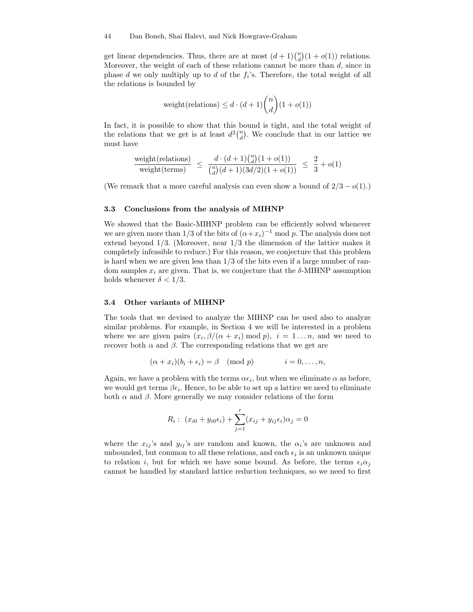get linear dependencies. Thus, there are at most  $(d+1) {n \choose d}(1+o(1))$  relations. Moreover, the weight of each of these relations cannot be more than  $d$ , since in phase  $d$  we only multiply up to  $d$  of the  $f_i$ 's. Therefore, the total weight of all the relations is bounded by

$$
\text{weight}(\text{relations}) \le d \cdot (d+1) \binom{n}{d} (1+o(1))
$$

In fact, it is possible to show that this bound is tight, and the total weight of the relations that we get is at least  $d^2\binom{n}{d}$ . We conclude that in our lattice we must have

$$
\frac{\text{weight}(\text{relations})}{\text{weight}(\text{terms})} \le \frac{d \cdot (d+1) \binom{n}{d} (1+o(1))}{\binom{n}{d} (d+1) (3d/2) (1+o(1))} \le \frac{2}{3} + o(1)
$$

(We remark that a more careful analysis can even show a bound of  $2/3 - o(1)$ .)

### 3.3 Conclusions from the analysis of MIHNP

We showed that the Basic-MIHNP problem can be efficiently solved whenever we are given more than 1/3 of the bits of  $(\alpha + x_i)^{-1}$  mod p. The analysis does not extend beyond 1/3. (Moreover, near 1/3 the dimension of the lattice makes it completely infeasible to reduce.) For this reason, we conjecture that this problem is hard when we are given less than  $1/3$  of the bits even if a large number of random samples  $x_i$  are given. That is, we conjecture that the  $\delta$ -MIHNP assumption holds whenever  $\delta < 1/3$ .

### 3.4 Other variants of MIHNP

The tools that we devised to analyze the MIHNP can be used also to analyze similar problems. For example, in Section 4 we will be interested in a problem where we are given pairs  $(x_i, \beta/(\alpha + x_i) \mod p)$ ,  $i = 1...n$ , and we need to recover both  $\alpha$  and  $\beta$ . The corresponding relations that we get are

$$
(\alpha + x_i)(b_i + \epsilon_i) = \beta \pmod{p} \qquad i = 0, \ldots, n,
$$

Again, we have a problem with the terms  $\alpha \epsilon_i$ , but when we eliminate  $\alpha$  as before, we would get terms  $\beta \epsilon_i$ . Hence, to be able to set up a lattice we need to eliminate both  $\alpha$  and  $\beta$ . More generally we may consider relations of the form

$$
R_i: (x_{i0} + y_{i0} \epsilon_i) + \sum_{j=1}^r (x_{ij} + y_{ij} \epsilon_i) \alpha_j = 0
$$

where the  $x_{ij}$ 's and  $y_{ij}$ 's are random and known, the  $\alpha_i$ 's are unknown and unbounded, but common to all these relations, and each  $\epsilon_i$  is an unknown unique to relation i, but for which we have some bound. As before, the terms  $\epsilon_i \alpha_j$ cannot be handled by standard lattice reduction techniques, so we need to first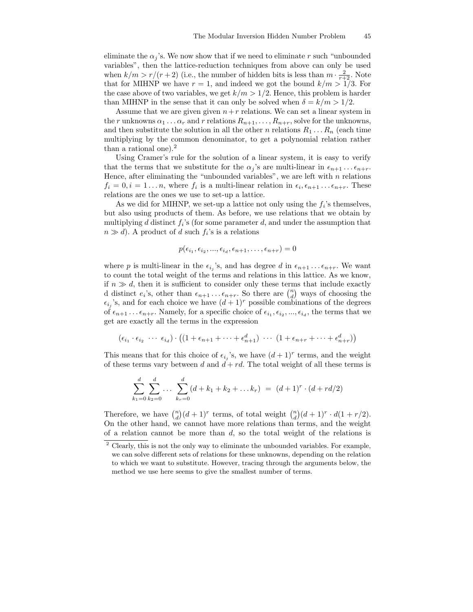eliminate the  $\alpha_i$ 's. We now show that if we need to eliminate r such "unbounded" variables", then the lattice-reduction techniques from above can only be used when  $k/m > r/(r+2)$  (i.e., the number of hidden bits is less than  $m \cdot \frac{2}{r+2}$ . Note that for MIHNP we have  $r = 1$ , and indeed we got the bound  $k/m > 1/3$ . For the case above of two variables, we get  $k/m > 1/2$ . Hence, this problem is harder than MIHNP in the sense that it can only be solved when  $\delta = k/m > 1/2$ .

Assume that we are given given  $n+r$  relations. We can set a linear system in the r unknowns  $\alpha_1 \ldots \alpha_r$  and r relations  $R_{n+1}, \ldots, R_{n+r}$ , solve for the unknowns, and then substitute the solution in all the other n relations  $R_1 \ldots R_n$  (each time multiplying by the common denominator, to get a polynomial relation rather than a rational one).<sup>2</sup>

Using Cramer's rule for the solution of a linear system, it is easy to verify that the terms that we substitute for the  $\alpha_j$ 's are multi-linear in  $\epsilon_{n+1} \dots \epsilon_{n+r}$ . Hence, after eliminating the "unbounded variables", we are left with  $n$  relations  $f_i = 0, i = 1...n$ , where  $f_i$  is a multi-linear relation in  $\epsilon_i, \epsilon_{n+1} \dots \epsilon_{n+r}$ . These relations are the ones we use to set-up a lattice.

As we did for MIHNP, we set-up a lattice not only using the  $f_i$ 's themselves, but also using products of them. As before, we use relations that we obtain by multiplying  $d$  distinct  $f_i$ 's (for some parameter  $d$ , and under the assumption that  $n \gg d$ ). A product of d such  $f_i$ 's is a relations

$$
p(\epsilon_{i_1}, \epsilon_{i_2}, \ldots, \epsilon_{i_d}, \epsilon_{n+1}, \ldots, \epsilon_{n+r}) = 0
$$

where p is multi-linear in the  $\epsilon_{i_j}$ 's, and has degree d in  $\epsilon_{n+1} \dots \epsilon_{n+r}$ . We want to count the total weight of the terms and relations in this lattice. As we know, if  $n \gg d$ , then it is sufficient to consider only these terms that include exactly d distinct  $e_i$ 's, other than  $\epsilon_{n+1} \dots \epsilon_{n+r}$ . So there are  $\binom{n}{d}$  ways of choosing the  $\epsilon_{i_j}$ 's, and for each choice we have  $(d+1)^r$  possible combinations of the degrees of  $\epsilon_{n+1} \dots \epsilon_{n+r}$ . Namely, for a specific choice of  $\epsilon_{i_1}, \epsilon_{i_2}, ..., \epsilon_{i_d}$ , the terms that we get are exactly all the terms in the expression

$$
(\epsilon_{i_1} \cdot \epsilon_{i_2} \cdots \epsilon_{i_d}) \cdot ((1 + \epsilon_{n+1} + \cdots + \epsilon_{n+1}^d) \cdots (1 + \epsilon_{n+r} + \cdots + \epsilon_{n+r}^d))
$$

This means that for this choice of  $\epsilon_{i_j}$ 's, we have  $(d+1)^r$  terms, and the weight of these terms vary between d and  $d + rd$ . The total weight of all these terms is

$$
\sum_{k_1=0}^d \sum_{k_2=0}^d \dots \sum_{k_r=0}^d (d+k_1+k_2+\dots+k_r) = (d+1)^r \cdot (d+rd/2)
$$

Therefore, we have  $\binom{n}{d}(d+1)^r$  terms, of total weight  $\binom{n}{d}(d+1)^r \cdot d(1+r/2)$ . On the other hand, we cannot have more relations than terms, and the weight of a relation cannot be more than  $d$ , so the total weight of the relations is

<sup>&</sup>lt;sup>2</sup> Clearly, this is not the only way to eliminate the unbounded variables. For example, we can solve different sets of relations for these unknowns, depending on the relation to which we want to substitute. However, tracing through the arguments below, the method we use here seems to give the smallest number of terms.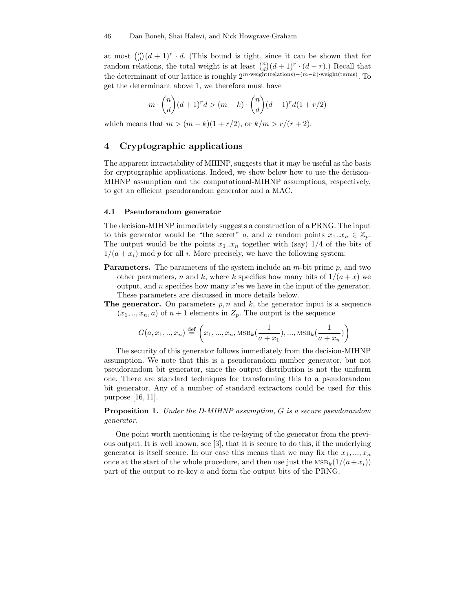#### 46 Dan Boneh, Shai Halevi, and Nick Howgrave-Graham

at most  $\binom{n}{d}(d+1)^r \cdot d$ . (This bound is tight, since it can be shown that for random relations, the total weight is at least  $\binom{n}{d}(d+1)^r \cdot (d-r)$ .) Recall that the determinant of our lattice is roughly  $2^{m \cdot \text{weight}(relations) - (m-k) \cdot \text{weight}(terms)}$ . To get the determinant above 1, we therefore must have

$$
m \cdot \binom{n}{d} (d+1)^r d > (m-k) \cdot \binom{n}{d} (d+1)^r d(1+r/2)
$$

which means that  $m > (m - k)(1 + r/2)$ , or  $k/m > r/(r + 2)$ .

# 4 Cryptographic applications

The apparent intractability of MIHNP, suggests that it may be useful as the basis for cryptographic applications. Indeed, we show below how to use the decision-MIHNP assumption and the computational-MIHNP assumptions, respectively, to get an efficient pseudorandom generator and a MAC.

### 4.1 Pseudorandom generator

The decision-MIHNP immediately suggests a construction of a PRNG. The input to this generator would be "the secret" a, and n random points  $x_1...x_n \in \mathbb{Z}_p$ . The output would be the points  $x_1...x_n$  together with (say)  $1/4$  of the bits of  $1/(a + x_i)$  mod p for all i. More precisely, we have the following system:

- **Parameters.** The parameters of the system include an  $m$ -bit prime  $p$ , and two other parameters, n and k, where k specifies how many bits of  $1/(a + x)$  we output, and n specifies how many  $x$ 'es we have in the input of the generator. These parameters are discussed in more details below.
- **The generator.** On parameters  $p, n$  and  $k$ , the generator input is a sequence  $(x_1, \ldots, x_n, a)$  of  $n+1$  elements in  $Z_p$ . The output is the sequence

$$
G(a, x_1, ..., x_n) \stackrel{\text{def}}{=} \left( x_1, ..., x_n, \text{MSB}_k(\frac{1}{a + x_1}), ..., \text{MSB}_k(\frac{1}{a + x_n}) \right)
$$

The security of this generator follows immediately from the decision-MIHNP assumption. We note that this is a pseudorandom number generator, but not pseudorandom bit generator, since the output distribution is not the uniform one. There are standard techniques for transforming this to a pseudorandom bit generator. Any of a number of standard extractors could be used for this purpose [16, 11].

Proposition 1. Under the D-MIHNP assumption, G is a secure pseudorandom generator.

One point worth mentioning is the re-keying of the generator from the previous output. It is well known, see [3], that it is secure to do this, if the underlying generator is itself secure. In our case this means that we may fix the  $x_1, ..., x_n$ once at the start of the whole procedure, and then use just the  $\text{MSB}_k(1/(a+x_i))$ part of the output to re-key a and form the output bits of the PRNG.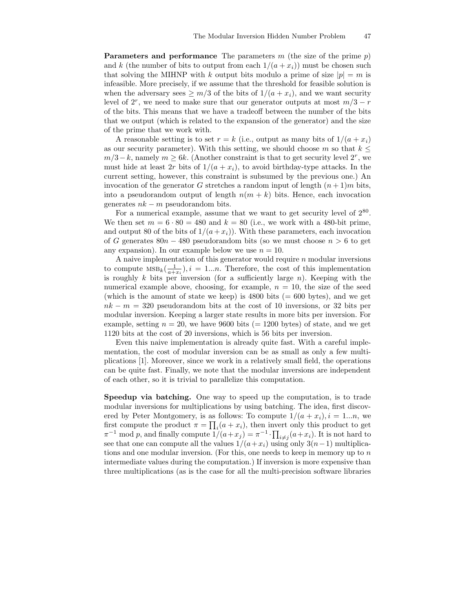**Parameters and performance** The parameters m (the size of the prime p) and k (the number of bits to output from each  $1/(a + x_i)$ ) must be chosen such that solving the MIHNP with k output bits modulo a prime of size  $|p| = m$  is infeasible. More precisely, if we assume that the threshold for feasible solution is when the adversary sees  $\geq m/3$  of the bits of  $1/(a + x_i)$ , and we want security level of  $2^r$ , we need to make sure that our generator outputs at most  $m/3 - r$ of the bits. This means that we have a tradeoff between the number of the bits that we output (which is related to the expansion of the generator) and the size of the prime that we work with.

A reasonable setting is to set  $r = k$  (i.e., output as many bits of  $1/(a + x_i)$ ) as our security parameter). With this setting, we should choose m so that  $k \leq$  $m/3-k$ , namely  $m \geq 6k$ . (Another constraint is that to get security level  $2^r$ , we must hide at least 2r bits of  $1/(a + x_i)$ , to avoid birthday-type attacks. In the current setting, however, this constraint is subsumed by the previous one.) An invocation of the generator G stretches a random input of length  $(n+1)m$  bits, into a pseudorandom output of length  $n(m + k)$  bits. Hence, each invocation generates  $nk - m$  pseudorandom bits.

For a numerical example, assume that we want to get security level of  $2^{80}$ . We then set  $m = 6 \cdot 80 = 480$  and  $k = 80$  (i.e., we work with a 480-bit prime, and output 80 of the bits of  $1/(a+x_i)$ . With these parameters, each invocation of G generates  $80n - 480$  pseudorandom bits (so we must choose  $n > 6$  to get any expansion). In our example below we use  $n = 10$ .

A naive implementation of this generator would require  $n$  modular inversions to compute  $\text{MSB}_k(\frac{1}{a+x_i}), i = 1...n$ . Therefore, the cost of this implementation is roughly  $k$  bits per inversion (for a sufficiently large  $n$ ). Keeping with the numerical example above, choosing, for example,  $n = 10$ , the size of the seed (which is the amount of state we keep) is  $4800$  bits (= 600 bytes), and we get  $nk - m = 320$  pseudorandom bits at the cost of 10 inversions, or 32 bits per modular inversion. Keeping a larger state results in more bits per inversion. For example, setting  $n = 20$ , we have 9600 bits (= 1200 bytes) of state, and we get 1120 bits at the cost of 20 inversions, which is 56 bits per inversion.

Even this naive implementation is already quite fast. With a careful implementation, the cost of modular inversion can be as small as only a few multiplications [1]. Moreover, since we work in a relatively small field, the operations can be quite fast. Finally, we note that the modular inversions are independent of each other, so it is trivial to parallelize this computation.

Speedup via batching. One way to speed up the computation, is to trade modular inversions for multiplications by using batching. The idea, first discovered by Peter Montgomery, is as follows: To compute  $1/(a + x_i), i = 1...n$ , we first compute the product  $\pi = \prod_i (a + x_i)$ , then invert only this product to get  $\pi^{-1}$  mod p, and finally compute  $1/(a+x_j) = \pi^{-1} \cdot \prod_{i \neq j} (a+x_i)$ . It is not hard to see that one can compute all the values  $1/(a+x_i)$  using only  $3(n-1)$  multiplications and one modular inversion. (For this, one needs to keep in memory up to  $n$ intermediate values during the computation.) If inversion is more expensive than three multiplications (as is the case for all the multi-precision software libraries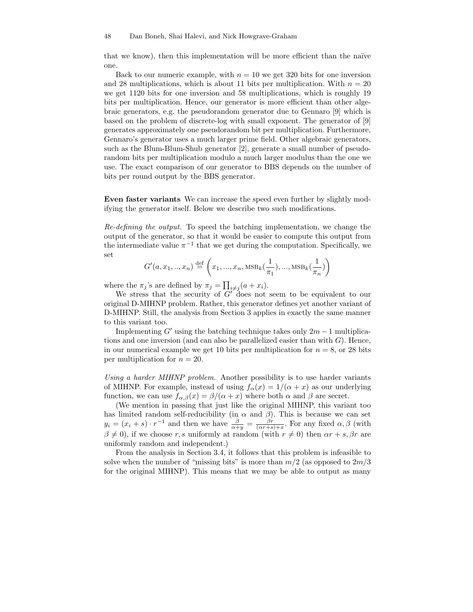that we know), then this implementation will be more efficient than the naïve one.

Back to our numeric example, with  $n = 10$  we get 320 bits for one inversion and 28 multiplications, which is about 11 bits per multiplication. With  $n = 20$ we get 1120 bits for one inversion and 58 multiplications, which is roughly 19 bits per multiplication. Hence, our generator is more efficient than other algebraic generators, e.g. the pseudorandom generator due to Gennaro [9] which is based on the problem of discrete-log with small exponent. The generator of [9] generates approximately one pseudorandom bit per multiplication. Furthermore, Gennaro's generator uses a much larger prime field. Other algebraic generators, such as the Blum-Blum-Shub generator [2], generate a small number of pseudorandom bits per multiplication modulo a much larger modulus than the one we use. The exact comparison of our generator to BBS depends on the number of bits per round output by the BBS generator.

Even faster variants We can increase the speed even further by slightly modifying the generator itself. Below we describe two such modifications.

Re-defining the output. To speed the batching implementation, we change the output of the generator, so that it would be easier to compute this output from the intermediate value  $\pi^{-1}$  that we get during the computation. Specifically, we set

$$
G'(a, x_1, ..., x_n) \stackrel{\text{def}}{=} \left(x_1, ..., x_n, \text{MSB}_k(\frac{1}{\pi_1}), ..., \text{MSB}_k(\frac{1}{\pi_n})\right)
$$

where the  $\pi_j$ 's are defined by  $\pi_j = \prod_{i \neq j} (a + x_i)$ .

We stress that the security of  $G'$  does not seem to be equivalent to our original D-MIHNP problem. Rather, this generator defines yet another variant of D-MIHNP. Still, the analysis from Section 3 applies in exactly the same manner to this variant too.

Implementing  $G'$  using the batching technique takes only  $2m - 1$  multiplications and one inversion (and can also be parallelized easier than with  $G$ ). Hence, in our numerical example we get 10 bits per multiplication for  $n = 8$ , or 28 bits per multiplication for  $n = 20$ .

Using a harder MIHNP problem. Another possibility is to use harder variants of MIHNP. For example, instead of using  $f_{\alpha}(x) = 1/(\alpha + x)$  as our underlying function, we can use  $f_{\alpha,\beta}(x) = \beta/(\alpha + x)$  where both  $\alpha$  and  $\beta$  are secret.

(We mention in passing that just like the original MIHNP, this variant too has limited random self-reducibility (in  $\alpha$  and  $\beta$ ). This is because we can set  $y_i = (x_i + s) \cdot r^{-1}$  and then we have  $\frac{\beta}{\alpha + y} = \frac{\beta r}{(\alpha r + s) + x}$ . For any fixed  $\alpha, \beta$  (with  $\beta \neq 0$ ), if we choose r, s uniformly at random (with  $r \neq 0$ ) then  $\alpha r + s$ ,  $\beta r$  are uniformly random and independent.)

From the analysis in Section 3.4, it follows that this problem is infeasible to solve when the number of "missing bits" is more than  $m/2$  (as opposed to  $2m/3$ for the original MIHNP). This means that we may be able to output as many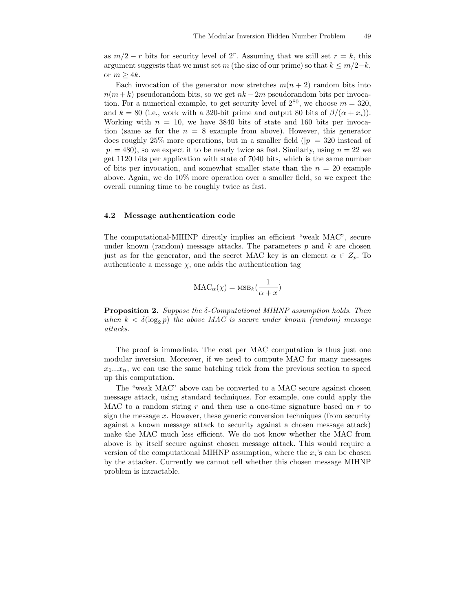as  $m/2 - r$  bits for security level of  $2^r$ . Assuming that we still set  $r = k$ , this argument suggests that we must set m (the size of our prime) so that  $k \leq m/2-k$ , or  $m > 4k$ .

Each invocation of the generator now stretches  $m(n + 2)$  random bits into  $n(m + k)$  pseudorandom bits, so we get  $nk - 2m$  pseudorandom bits per invocation. For a numerical example, to get security level of  $2^{80}$ , we choose  $m = 320$ , and  $k = 80$  (i.e., work with a 320-bit prime and output 80 bits of  $\beta/(\alpha + x_i)$ ). Working with  $n = 10$ , we have 3840 bits of state and 160 bits per invocation (same as for the  $n = 8$  example from above). However, this generator does roughly 25% more operations, but in a smaller field  $(|p| = 320$  instead of  $|p| = 480$ , so we expect it to be nearly twice as fast. Similarly, using  $n = 22$  we get 1120 bits per application with state of 7040 bits, which is the same number of bits per invocation, and somewhat smaller state than the  $n = 20$  example above. Again, we do 10% more operation over a smaller field, so we expect the overall running time to be roughly twice as fast.

#### 4.2 Message authentication code

The computational-MIHNP directly implies an efficient "weak MAC", secure under known (random) message attacks. The parameters  $p$  and  $k$  are chosen just as for the generator, and the secret MAC key is an element  $\alpha \in Z_p$ . To authenticate a message  $\chi$ , one adds the authentication tag

$$
\text{MAC}_{\alpha}(\chi) = \text{MSB}_k(\frac{1}{\alpha + x})
$$

**Proposition 2.** Suppose the  $\delta$ -Computational MIHNP assumption holds. Then when  $k < \delta(\log_2 p)$  the above MAC is secure under known (random) message attacks.

The proof is immediate. The cost per MAC computation is thus just one modular inversion. Moreover, if we need to compute MAC for many messages  $x_1...x_n$ , we can use the same batching trick from the previous section to speed up this computation.

The "weak MAC" above can be converted to a MAC secure against chosen message attack, using standard techniques. For example, one could apply the MAC to a random string  $r$  and then use a one-time signature based on  $r$  to sign the message  $x$ . However, these generic conversion techniques (from security against a known message attack to security against a chosen message attack) make the MAC much less efficient. We do not know whether the MAC from above is by itself secure against chosen message attack. This would require a version of the computational MIHNP assumption, where the  $x_i$ 's can be chosen by the attacker. Currently we cannot tell whether this chosen message MIHNP problem is intractable.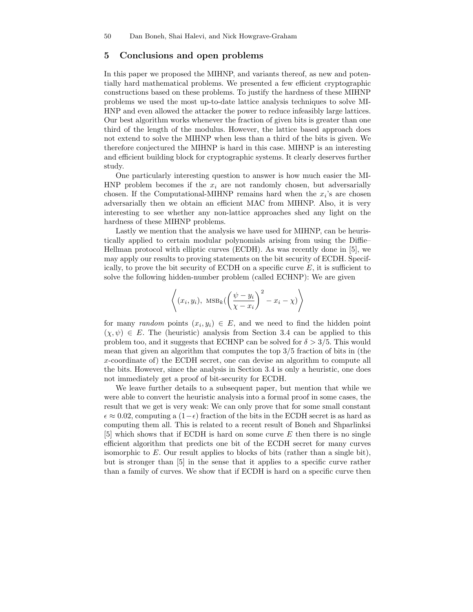# 5 Conclusions and open problems

In this paper we proposed the MIHNP, and variants thereof, as new and potentially hard mathematical problems. We presented a few efficient cryptographic constructions based on these problems. To justify the hardness of these MIHNP problems we used the most up-to-date lattice analysis techniques to solve MI-HNP and even allowed the attacker the power to reduce infeasibly large lattices. Our best algorithm works whenever the fraction of given bits is greater than one third of the length of the modulus. However, the lattice based approach does not extend to solve the MIHNP when less than a third of the bits is given. We therefore conjectured the MIHNP is hard in this case. MIHNP is an interesting and efficient building block for cryptographic systems. It clearly deserves further study.

One particularly interesting question to answer is how much easier the MI-HNP problem becomes if the  $x_i$  are not randomly chosen, but adversarially chosen. If the Computational-MIHNP remains hard when the  $x_i$ 's are chosen adversarially then we obtain an efficient MAC from MIHNP. Also, it is very interesting to see whether any non-lattice approaches shed any light on the hardness of these MIHNP problems.

Lastly we mention that the analysis we have used for MIHNP, can be heuristically applied to certain modular polynomials arising from using the Diffie– Hellman protocol with elliptic curves (ECDH). As was recently done in [5], we may apply our results to proving statements on the bit security of ECDH. Specifically, to prove the bit security of ECDH on a specific curve  $E$ , it is sufficient to solve the following hidden-number problem (called ECHNP): We are given

$$
\left\langle (x_i, y_i), \text{MSB}_k \left( \left( \frac{\psi - y_i}{\chi - x_i} \right)^2 - x_i - \chi \right) \right\rangle
$$

for many random points  $(x_i, y_i) \in E$ , and we need to find the hidden point  $(\chi, \psi) \in E$ . The (heuristic) analysis from Section 3.4 can be applied to this problem too, and it suggests that ECHNP can be solved for  $\delta > 3/5$ . This would mean that given an algorithm that computes the top 3/5 fraction of bits in (the x-coordinate of) the ECDH secret, one can devise an algorithm to compute all the bits. However, since the analysis in Section 3.4 is only a heuristic, one does not immediately get a proof of bit-security for ECDH.

We leave further details to a subsequent paper, but mention that while we were able to convert the heuristic analysis into a formal proof in some cases, the result that we get is very weak: We can only prove that for some small constant  $\epsilon \approx 0.02$ , computing a  $(1-\epsilon)$  fraction of the bits in the ECDH secret is as hard as computing them all. This is related to a recent result of Boneh and Shparlinksi  $[5]$  which shows that if ECDH is hard on some curve E then there is no single efficient algorithm that predicts one bit of the ECDH secret for many curves isomorphic to  $E$ . Our result applies to blocks of bits (rather than a single bit), but is stronger than [5] in the sense that it applies to a specific curve rather than a family of curves. We show that if ECDH is hard on a specific curve then